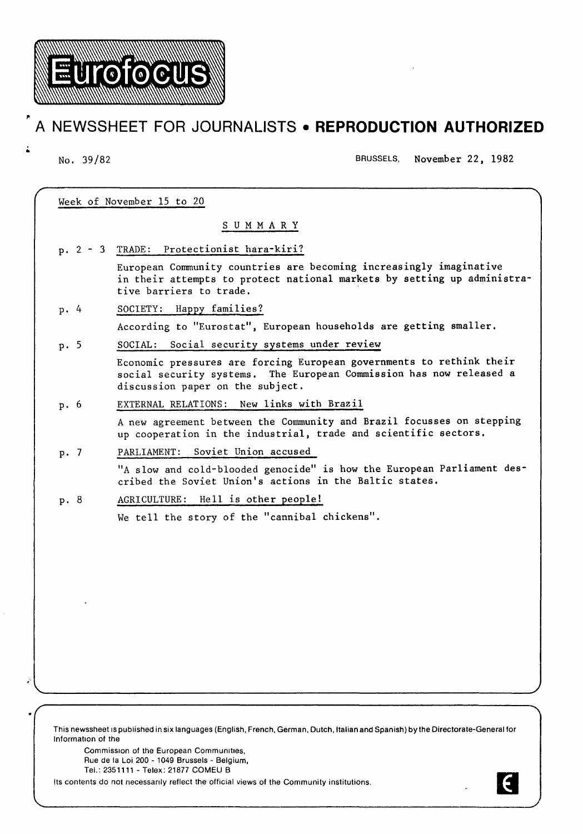

**Eurofocus** 

No. 39/82 BRUSSELS, November 22, 1982

| Week of November 15 to 20 |                                                                                                                                                                                 |
|---------------------------|---------------------------------------------------------------------------------------------------------------------------------------------------------------------------------|
|                           | SUMMARY                                                                                                                                                                         |
| $p. 2 - 3$                | TRADE: Protectionist hara-kiri?                                                                                                                                                 |
|                           | European Community countries are becoming increasingly imaginative<br>in their attempts to protect national markets by setting up administra-<br>tive barriers to trade.        |
| p.4                       | SOCIETY: Happy families?                                                                                                                                                        |
|                           | According to "Eurostat", European households are getting smaller.                                                                                                               |
| p.5                       | SOCIAL: Social security systems under review                                                                                                                                    |
|                           | Economic pressures are forcing European governments to rethink their<br>social security systems. The European Commission has now released a<br>discussion paper on the subject. |
| p. 6                      | New links with Brazil<br>EXTERNAL RELATIONS:                                                                                                                                    |
|                           | A new agreement between the Community and Brazil focusses on stepping<br>up cooperation in the industrial, trade and scientific sectors.                                        |
| p.7                       | Soviet Union accused<br>PARLIAMENT:                                                                                                                                             |
|                           | "A slow and cold-blooded genocide" is how the European Parliament des-<br>cribed the Soviet Union's actions in the Baltic states.                                               |
| p. 8                      | AGRICULTURE: Hell is other people!                                                                                                                                              |
|                           | We tell the story of the "cannibal chickens".                                                                                                                                   |
|                           |                                                                                                                                                                                 |
|                           |                                                                                                                                                                                 |
|                           |                                                                                                                                                                                 |
|                           |                                                                                                                                                                                 |
|                           |                                                                                                                                                                                 |
|                           |                                                                                                                                                                                 |
|                           |                                                                                                                                                                                 |
|                           |                                                                                                                                                                                 |

This newssheet IS published in six languages (English, French, German, Dutch, Italian and Spanish) by the Directorate-General for Information of the

Commission of the European Commumtles, Rue de Ia Loi 200- 1049 Brussels- Belgium, Tel.: 2351111 - Telex: 21877 COMEU B

...

•

Its contents do not necessanly reflect the official views of the Community institutions.

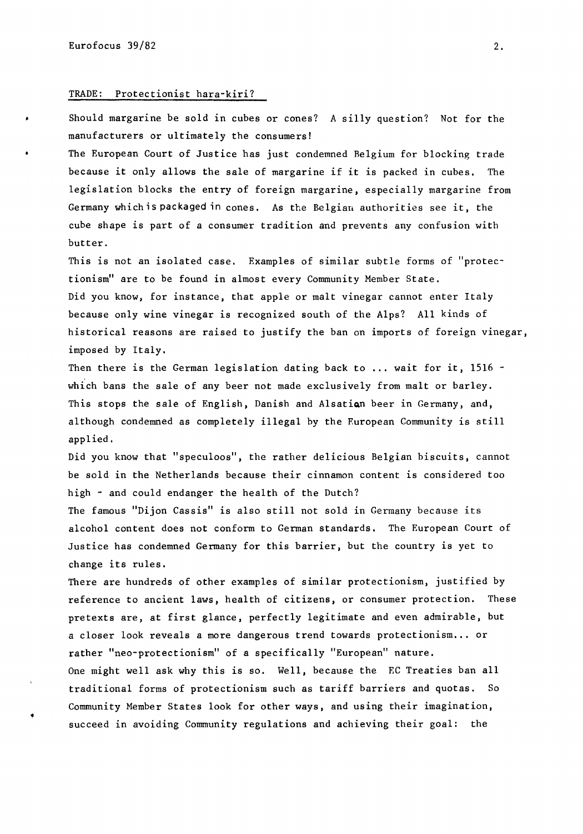•

### TRADE: Protectionist hara-kiri?

Should margarine be sold in cubes or cones? A silly question? Not for the manufacturers or ultimately the consumers!

The European Court of Justice has just condemned Belgium for blocking trade because it only allows the sale of margarine if it is packed in cubes. The legislation blocks the entry of foreign margarine, especially margarine from Germany which is packaged in cones. As the Belgian authorities see it, the cube shape is part of a consumer tradition and prevents any confusion with butter.

This is not an isolated case. Examples of similar subtle forms of "protectionism" are to be found in almost every Community Member State. Did you know, for instance, that apple or malt vinegar cannot enter Italy because only wine vinegar is recognized south of the Alps? All kinds of historical reasons are raised to justify the ban on imports of foreign vinegar, imposed by Italy.

Then there is the German legislation dating back to ... wait for it, 1516 which bans the sale of any beer not made exclusively from malt or barley. This stops the sale of English, Danish and Alsation beer in Germany, and, although condemned as completely illegal by the Furopean Community is still applied.

Did you know that "speculoos", the rather delicious Belgian biscuits, cannot be sold in the Netherlands because their cinnamon content is considered too high - and could endanger the health of the Dutch?

The famous "Dijon Cassis" is also still not sold in Germany because its alcohol content does not conform to German standards. The European Court of Justice has condemned Germany for this barrier, but the country is yet to change its rules.

There are hundreds of other examples of similar protectionism, justified by reference to ancient laws, health of citizens, or consumer protection. These pretexts are, at first glance, perfectly legitimate and even admirable, but a closer look reveals a more dangerous trend towards protectionism ... or rather ''neo-protectionism" of a specifically "European" nature. One might well ask why this is so. Well, because the EC Treaties ban all traditional forms of protectionism such as tariff barriers and quotas. So Community Member States look for other ways, and using their imagination, succeed in avoiding Community regulations and achieving their goal: the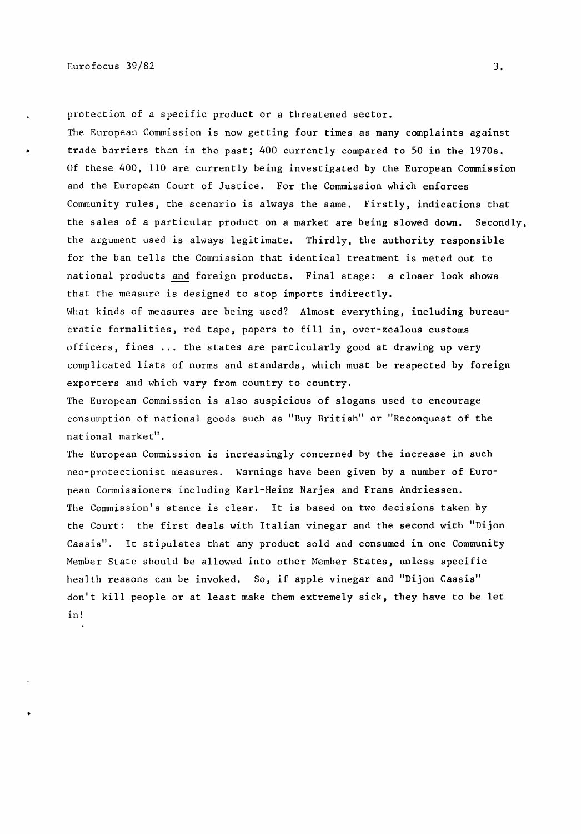protection of a specific product or a threatened sector. The European Commission is now getting four times as many complaints against trade barriers than in the past; 400 currently compared to SO in the 1970s. Of these 400, 110 are currently being investigated by the European Commission and the European Court of Justice. For the Commission which enforces Community rules, the scenario is always the same. Firstly, indications that the sales of a particular product on a market are being slowed down. Secondly, the argument used is always legitimate. Thirdly, the authority responsible for the ban tells the Commission that identical treatment is meted out to national products and foreign products. Final stage: a closer look shows that the measure is designed to stop imports indirectly.

What kinds of measures are being used? Almost everything, including bureaucratic formalities, red tape, papers to fill in, over-zealous customs officers, fines ... the states are particularly good at drawing up very complicated lists of norms and standards, which must be respected by foreign exporters and which vary from country to country.

The European Commission is also suspicious of slogans used to encourage consumption of national goods such as "Buy British" or "Reconquest of the national market".

The European Commission is increasingly concerned by the increase in such neo-protectionist measures. Warnings have been given by a number of European Commissioners including Karl-Heinz Narjes and Frans Andriessen. The Commission's stance is clear. It is based on two decisions taken by the Court: the first deals with Italian vinegar and the second with "Dijon Cassis". It stipulates that any product sold and consumed in one Community Member State should be allowed into other Member States, unless specific health reasons can be invoked, So, if apple vinegar and "Dijon Cassis" don't kill people or at least make them extremely sick, they have to be let in!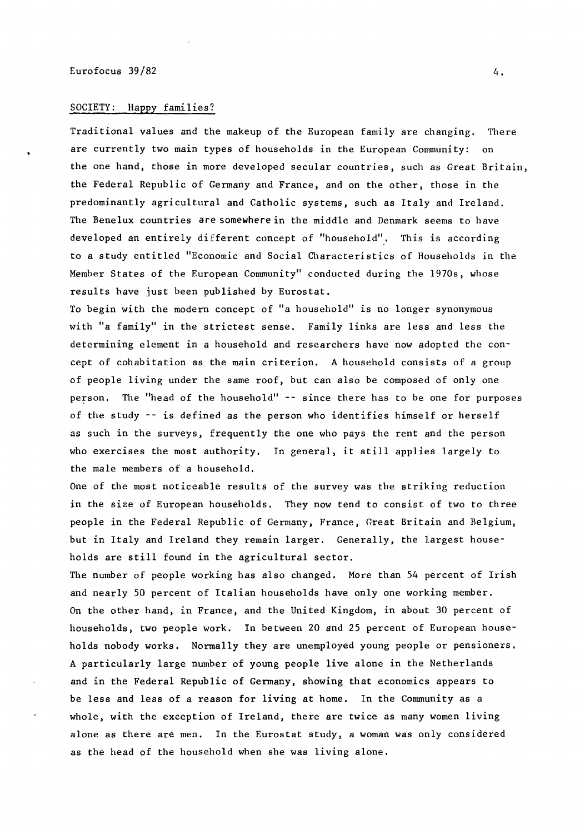### SOCIETY: Happy families?

Traditional values and the makeup of the European family are changing, There are currently two main types of households in the European Community: on the one hand, those in more developed secular countries, such as Great Britain, the Federal Republic of Germany and France, and on the other, those in the predominantly agricultural and Catholic systems, such as Italy and Ireland, The Benelux countries are somewhere in the middle and Denmark seems to have developed an entirely different concept of "household''. This is according to a study entitled "Economic and Social Characteristics of Households in the Member States of the European Community" conducted during the 1970s, whose results have just been published by Eurostat.

To begin with the modern concept of "a household" is no longer synonymous with "a family" in the strictest sense. Family links are less and less the determining element in a household and researchers have now adopted the concept of cohabitation as the main criterion. *A* household consists of a group of people living under the same roof, but can also be composed of only one person. The "head of the household" -- since there has to be one for purposes of the study -- is defined as the person who identifies himself or herself as such in the surveys, frequently the one who pays the rent and the person who exercises the most authority. In general, it still applies largely to the male members of a household,

One of the most noticeable results of the survey was the striking reduction in the size of European households. They now tend to consist of two to three people in the Federal Republic of Germany, France, Great Britain and Belgium, but in Italy and Ireland they remain larger. Generally, the largest households are still found in the agricultural sector.

The number of people working has also changed, More than 54 percent of Irish and nearly 50 percent of Italian households have only one working member. On the other hand, in France, and the United Kingdom, in about 30 percent of households, two people work. In between 20 and 25 percent of European households nobody works. Normally they are unemployed young people or pensioners. *A* particularly large number of young people live alone in the Netherlands and in the Federal Republic of Germany, showing that economics appears to be less and less of a reason for living at home, In the Community as a whole, with the exception of Ireland, there are twice as many women living alone as there are men. In the Eurostat study, a woman was only considered as the head of the household when she was living alone.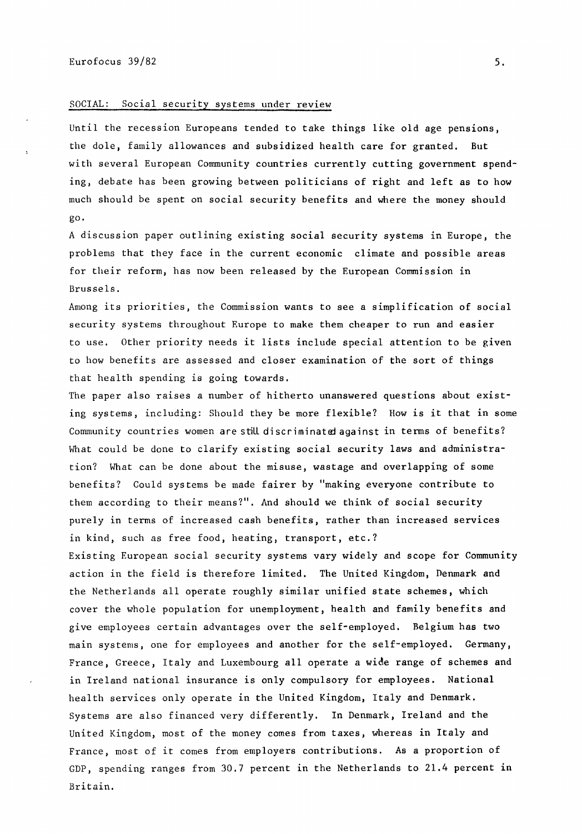#### SOCIAL: Social security systems under review

Until the recession Europeans tended to take things like old age pensions, the dole, family allowances and subsidized health care for granted. But with several European Community countries currently cutting government spending, debate has been growing between politicians of right and left as to how much should be spent on social security benefits and where the money should go.

A discussion paper outlining existing social security systems in Europe, the problems that they face in the current economic climate and possible areas for their reform, has now been released by the European Commission in Brussels.

Among its priorities, the Commission wants to see a simplification of social security systems throughout Europe to make them cheaper to run and easier to use. Other priority needs it lists include special attention to be given to how benefits are assessed and closer examination of the sort of things that health spending is going towards.

The paper also raises a number of hitherto unanswered questions about existing systems, including: Should they be more flexible? How is it that in some Community countries women are still discriminated against in terms of benefits? What could be done to clarify existing social security laws and administration? What can be done about the misuse, wastage and overlapping of some benefits? Could systems be made fairer by "making everyone contribute to them according to their means?". And should we think of social security purely in terms of increased cash benefits, rather than increased services in kind, such as free food, heating, transport, etc.?

Existing European social security systems vary widely and scope for Community action in the field is therefore limited, The United Kingdom, Denmark and the Netherlands all operate roughly similar unified state schemes, which cover the whole population for unemployment, health and family benefits and give employees certain advantages over the self-employed. Belgium has two main systems, one for employees and another for the self-employed. Germany, France, Greece, Italy and Luxembourg all operate a wide range of schemes and in Ireland national insurance is only compulsory for employees. National health services only operate in the United Kingdom, Italy and Denmark. Systems are also financed very differently. In Denmark, Ireland and the United Kingdom, most of the money comes from taxes, whereas in Italy and France, most of it comes from employers contributions. As a proportion of GDP, spending ranges from 30.7 percent in the Netherlands to 21.4 percent in Britain.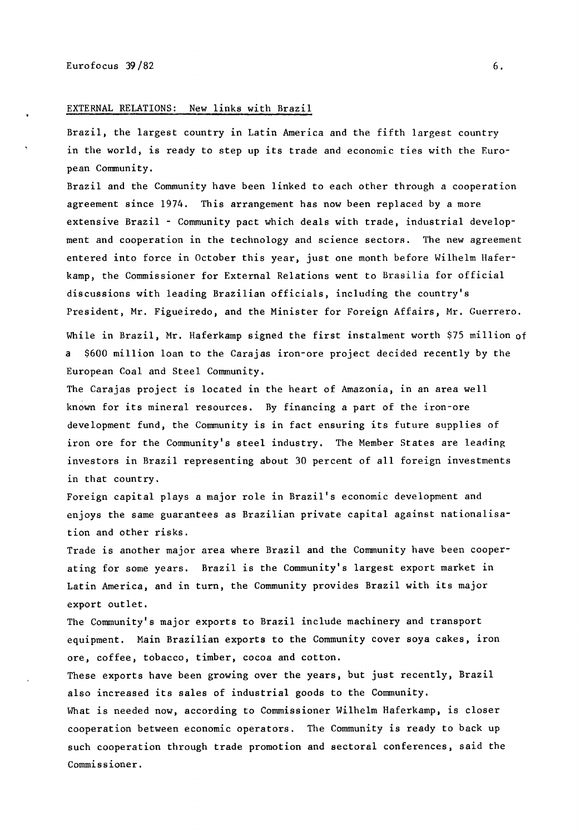### EXTERNAL RELATIONS: New links with Brazil

Brazil, the largest country in Latin America and the fifth largest country in the world, is ready to step up its trade and economic ties with the European Community.

Brazil and the Community have been linked to each other through a cooperation agreement since 1974. This arrangement has now been replaced by a more extensive Brazil - Community pact which deals with trade, industrial development and cooperation in the technology and science sectors. The new agreement entered into force in October this year, just one month before Wilhelm Haferkamp, the Commissioner for External Relations went to Brasilia for official discussions with leading Brazilian officials, including the country's President, Mr. Figueiredo, and the Minister for Foreign Affairs, Mr. Guerrero.

While in Brazil, Mr. Haferkamp signed the first instalment worth \$75 million of \$600 million loan to the Carajas iron-ore project decided recently by the European Coal and Steel Community.

The Carajas project is located in the heart of Amazonia, in an area well known for its mineral resources. By financing a part of the iron-ore development fund, the Community is in fact ensuring its future supplies of iron ore for the Community's steel industry. The Member States are leading investors in Brazil representing about 30 percent of all foreign investments in that country.

Foreign capital plays a major role in Brazil's economic development and enjoys the same guarantees as Brazilian private capital against nationalisation and other risks.

Trade is another major area where Brazil and the Community have been cooperating for some years. Brazil is the Community's largest export market in Latin America, and in turn, the Community provides Brazil with its major export outlet.

The Community's major exports to Brazil include machinery and transport equipment. Main Brazilian exports to the Community cover soya cakes, iron ore, coffee, tobacco, timber, cocoa and cotton.

These exports have been growing over the years, but just recently, Brazil also increased its sales of industrial goods to the Community.

What is needed now, according to Commissioner Wilhelm Haferkamp, is closer cooperation between economic operators. The Community is ready to back up such cooperation through trade promotion and sectoral conferences, said the Commissioner.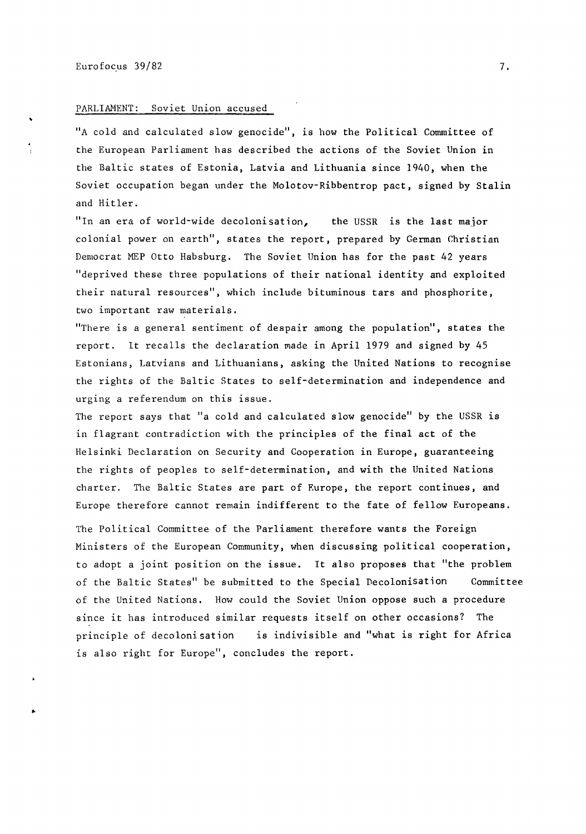..

# PARLIAMENT: Soviet Union accused

''A cold and calculated slow genocide", is how the Political Committee of the European Parliament has described the actions of the Soviet Union in the Baltic states of Estonia, Latvia and Lithuania since 1940, when the Soviet occupation began under the Molotov-Ribbentrop pact, signed by Stalin and Hitler.

"In an era of world-wide decolonisation, the USSR is the last major colonial power on earth", states the report, prepared by German Christian Democrat MEP Otto Habsburg. The Soviet Union has for the past 42 years "deprived these three populations of their national identity and exploited their natural resources", which include bituminous tars and phosphorite, two important raw materials.

"There is a general sentiment of despair among the population", states the report. It recalls the declaration made in April 1979 and signed by 45 Estonians, Latvians and Lithuanians, asking the United Nations to recognise the rights of the Baltic States to self-determination and independence and urging a referendum on this issue.

The report says that "a cold and calculated slow genocide" by the USSR is in flagrant contradiction with the principles of the final act of the Helsinki Declaration on Security and Cooperation in Europe, guaranteeing the rights of peoples to self-determination, and with the United Nations charter. The Baltic States are part of Europe, the report continues, and Europe therefore cannot remain indifferent to the fate of fellow Europeans.

The Political Committee of the Parliament therefore wants the Foreign Ministers of the European Community, when discussing political cooperation, to adopt a joint position on the issue. It also proposes that "the problem of the Baltic States" be submitted to the Special Decolonisation Committee of the United Nations. How could the Soviet Union oppose such a procedure since it has introduced similar requests itself on other occasions? The principle of decolonisation is indivisible and "what is right for Africa is also right for Europe", concludes the report.